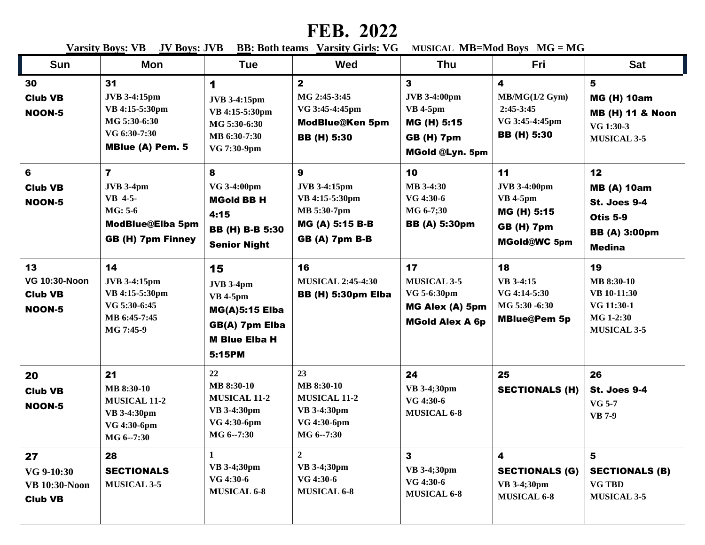## **FEB. 2022**

**<u>Varsity Boys: VB JV Boys</u>: JVB <u>BB:</u> Both teams <u>Varsity Girls</u>: VG MUSICAL MB=Mod Boys MG = MG** 

| <b>Sun</b>                                                    | <b>Mon</b>                                                                                                 | <b>Tue</b>                                                                                                             | Wed                                                                                                   | <b>Thu</b>                                                                                                           | Fri                                                                                                     | <b>Sat</b>                                                                                                  |
|---------------------------------------------------------------|------------------------------------------------------------------------------------------------------------|------------------------------------------------------------------------------------------------------------------------|-------------------------------------------------------------------------------------------------------|----------------------------------------------------------------------------------------------------------------------|---------------------------------------------------------------------------------------------------------|-------------------------------------------------------------------------------------------------------------|
| 30<br><b>Club VB</b><br><b>NOON-5</b>                         | 31<br><b>JVB</b> 3-4:15pm<br>VB 4:15-5:30pm<br>MG 5:30-6:30<br>VG 6:30-7:30<br>MBlue (A) Pem. 5            | 1<br><b>JVB 3-4:15pm</b><br>VB 4:15-5:30pm<br>MG 5:30-6:30<br>MB 6:30-7:30<br>VG 7:30-9pm                              | $\mathbf{2}$<br>MG 2:45-3:45<br>VG 3:45-4:45pm<br><b>ModBlue@Ken 5pm</b><br><b>BB</b> (H) 5:30        | $\mathbf{3}$<br><b>JVB</b> 3-4:00pm<br><b>VB</b> 4-5pm<br>MG (H) 5:15<br><b>GB (H) 7pm</b><br><b>MGold @Lyn. 5pm</b> | $\overline{\mathbf{4}}$<br>MB/MG(1/2 Gym)<br>$2:45-3:45$<br>VG 3:45-4:45pm<br><b>BB</b> (H) 5:30        | 5<br><b>MG (H) 10am</b><br><b>MB (H) 11 &amp; Noon</b><br>VG 1:30-3<br><b>MUSICAL 3-5</b>                   |
| 6<br><b>Club VB</b><br><b>NOON-5</b>                          | $\overline{7}$<br><b>JVB</b> 3-4pm<br>VB 4-5-<br>$MG: 5-6$<br>ModBlue@Elba 5pm<br><b>GB (H) 7pm Finney</b> | 8<br>VG 3-4:00pm<br><b>MGold BB H</b><br>4:15<br><b>BB (H) B-B 5:30</b><br><b>Senior Night</b>                         | 9<br><b>JVB 3-4:15pm</b><br>VB 4:15-5:30pm<br>MB 5:30-7pm<br>MG (A) 5:15 B-B<br><b>GB (A) 7pm B-B</b> | 10<br>MB 3-4:30<br>VG 4:30-6<br>MG 6-7;30<br><b>BB</b> (A) 5:30pm                                                    | 11<br><b>JVB 3-4:00pm</b><br><b>VB</b> 4-5pm<br>MG (H) 5:15<br><b>GB (H) 7pm</b><br><b>MGold@WC 5pm</b> | 12<br><b>MB (A) 10am</b><br><b>St. Joes 9-4</b><br><b>Otis 5-9</b><br><b>BB</b> (A) 3:00pm<br><b>Medina</b> |
| 13<br><b>VG 10:30-Noon</b><br><b>Club VB</b><br><b>NOON-5</b> | 14<br><b>JVB 3-4:15pm</b><br>VB 4:15-5:30pm<br>VG 5:30-6:45<br>MB 6:45-7:45<br>MG 7:45-9                   | 15<br><b>JVB 3-4pm</b><br><b>VB</b> 4-5pm<br><b>MG(A)5:15 Elba</b><br>GB(A) 7pm Elba<br><b>M Blue Elba H</b><br>5:15PM | 16<br><b>MUSICAL 2:45-4:30</b><br><b>BB (H) 5:30pm Elba</b>                                           | 17<br><b>MUSICAL 3-5</b><br>VG 5-6:30pm<br>MG Alex (A) 5pm<br><b>MGold Alex A 6p</b>                                 | 18<br>VB 3-4:15<br>VG 4:14-5:30<br>MG 5:30 -6:30<br><b>MBlue@Pem 5p</b>                                 | 19<br>MB 8:30-10<br>VB 10-11:30<br>VG 11:30-1<br>MG 1-2:30<br><b>MUSICAL 3-5</b>                            |
| 20<br><b>Club VB</b><br><b>NOON-5</b>                         | 21<br>MB 8:30-10<br><b>MUSICAL 11-2</b><br><b>VB</b> 3-4:30pm<br>VG 4:30-6pm<br>MG 6--7:30                 | 22<br>MB 8:30-10<br><b>MUSICAL 11-2</b><br>VB 3-4:30pm<br>VG 4:30-6pm<br>MG 6--7:30                                    | 23<br><b>MB 8:30-10</b><br><b>MUSICAL 11-2</b><br>VB 3-4:30pm<br>VG 4:30-6pm<br>MG 6--7:30            | 24<br>VB 3-4;30pm<br>VG 4:30-6<br><b>MUSICAL 6-8</b>                                                                 | 25<br><b>SECTIONALS (H)</b>                                                                             | 26<br><b>St. Joes 9-4</b><br><b>VG 5-7</b><br><b>VB</b> 7-9                                                 |
| 27<br>VG 9-10:30<br><b>VB 10:30-Noon</b><br><b>Club VB</b>    | 28<br><b>SECTIONALS</b><br><b>MUSICAL 3-5</b>                                                              | $\mathbf{1}$<br>VB 3-4;30pm<br>VG 4:30-6<br><b>MUSICAL 6-8</b>                                                         | $\overline{2}$<br>VB 3-4;30pm<br>VG 4:30-6<br><b>MUSICAL 6-8</b>                                      | 3<br>VB 3-4;30pm<br>VG 4:30-6<br><b>MUSICAL 6-8</b>                                                                  | 4<br><b>SECTIONALS (G)</b><br>VB 3-4;30pm<br><b>MUSICAL 6-8</b>                                         | 5<br><b>SECTIONALS (B)</b><br><b>VG TBD</b><br><b>MUSICAL 3-5</b>                                           |